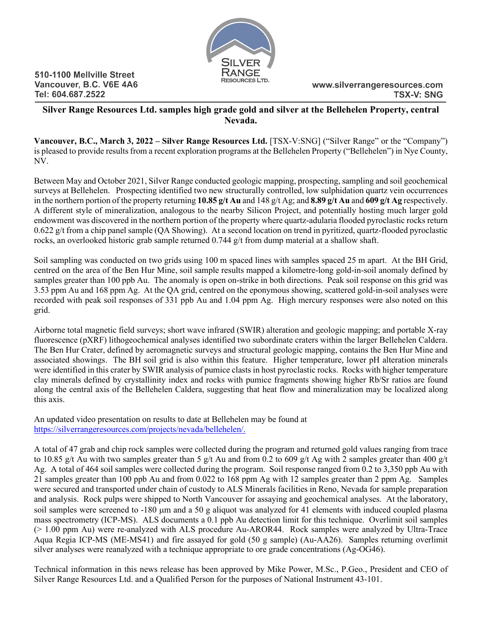

510-1100 Mellville Street Vancouver, B.C. V6E 4A6 Tel: 604.687.2522

# **Silver Range Resources Ltd. samples high grade gold and silver at the Bellehelen Property, central Nevada.**

**Vancouver, B.C., March 3, 2022 – Silver Range Resources Ltd.** [TSX-V:SNG] ("Silver Range" or the "Company") is pleased to provide results from a recent exploration programs at the Bellehelen Property ("Bellehelen") in Nye County, NV.

Between May and October 2021, Silver Range conducted geologic mapping, prospecting, sampling and soil geochemical surveys at Bellehelen. Prospecting identified two new structurally controlled, low sulphidation quartz vein occurrences in the northern portion of the property returning **10.85 g/t Au** and 148 g/t Ag; and **8.89 g/t Au** and **609 g/t Ag** respectively. A different style of mineralization, analogous to the nearby Silicon Project, and potentially hosting much larger gold endowment was discovered in the northern portion of the property where quartz-adularia flooded pyroclastic rocks return 0.622 g/t from a chip panel sample (QA Showing). At a second location on trend in pyritized, quartz-flooded pyroclastic rocks, an overlooked historic grab sample returned  $0.744$  g/t from dump material at a shallow shaft.

Soil sampling was conducted on two grids using 100 m spaced lines with samples spaced 25 m apart. At the BH Grid, centred on the area of the Ben Hur Mine, soil sample results mapped a kilometre-long gold-in-soil anomaly defined by samples greater than 100 ppb Au. The anomaly is open on-strike in both directions. Peak soil response on this grid was 3.53 ppm Au and 168 ppm Ag. At the QA grid, centred on the eponymous showing, scattered gold-in-soil analyses were recorded with peak soil responses of 331 ppb Au and 1.04 ppm Ag. High mercury responses were also noted on this grid.

Airborne total magnetic field surveys; short wave infrared (SWIR) alteration and geologic mapping; and portable X-ray fluorescence (pXRF) lithogeochemical analyses identified two subordinate craters within the larger Bellehelen Caldera. The Ben Hur Crater, defined by aeromagnetic surveys and structural geologic mapping, contains the Ben Hur Mine and associated showings. The BH soil grid is also within this feature. Higher temperature, lower pH alteration minerals were identified in this crater by SWIR analysis of pumice clasts in host pyroclastic rocks. Rocks with higher temperature clay minerals defined by crystallinity index and rocks with pumice fragments showing higher Rb/Sr ratios are found along the central axis of the Bellehelen Caldera, suggesting that heat flow and mineralization may be localized along this axis.

An updated video presentation on results to date at Bellehelen may be found at [https://silverrangeresources.com/projects/nevada/bellehelen/.](https://silverrangeresources.com/projects/nevada/bellehelen/)

A total of 47 grab and chip rock samples were collected during the program and returned gold values ranging from trace to 10.85 g/t Au with two samples greater than 5 g/t Au and from 0.2 to 609 g/t Ag with 2 samples greater than 400 g/t Ag. A total of 464 soil samples were collected during the program. Soil response ranged from 0.2 to 3,350 ppb Au with 21 samples greater than 100 ppb Au and from 0.022 to 168 ppm Ag with 12 samples greater than 2 ppm Ag. Samples were secured and transported under chain of custody to ALS Minerals facilities in Reno, Nevada for sample preparation and analysis. Rock pulps were shipped to North Vancouver for assaying and geochemical analyses. At the laboratory, soil samples were screened to -180 µm and a 50 g aliquot was analyzed for 41 elements with induced coupled plasma mass spectrometry (ICP-MS). ALS documents a 0.1 ppb Au detection limit for this technique. Overlimit soil samples (> 1.00 ppm Au) were re-analyzed with ALS procedure Au-AROR44. Rock samples were analyzed by Ultra-Trace Aqua Regia ICP-MS (ME-MS41) and fire assayed for gold (50 g sample) (Au-AA26). Samples returning overlimit silver analyses were reanalyzed with a technique appropriate to ore grade concentrations (Ag-OG46).

Technical information in this news release has been approved by Mike Power, M.Sc., P.Geo., President and CEO of Silver Range Resources Ltd. and a Qualified Person for the purposes of National Instrument 43-101.